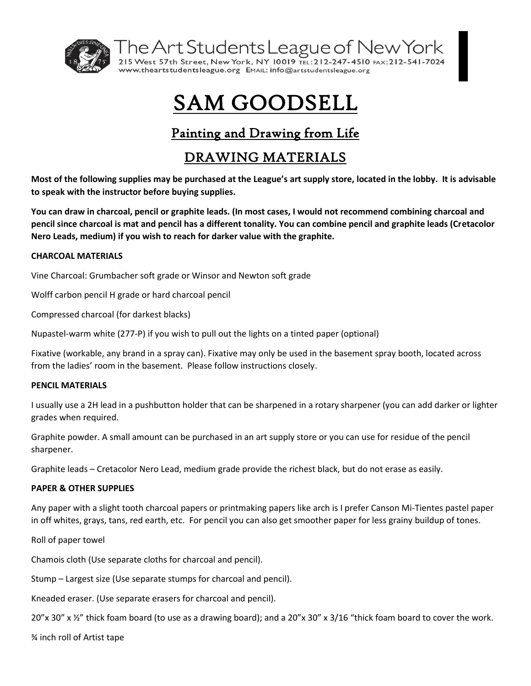

The Art Students League of New York<br>215 West 57th Street, New York, NY 10019 TEL:212-247-4510 FAX:212-541-7024<br>www.theartstudentsleague.org EMAIL: info@artstudentsleague.org

# SAM GOODSELL

## Painting and Drawing from Life

### DRAWING MATERIALS

**Most of the following supplies may be purchased at the League's art supply store, located in the lobby. It is advisable to speak with the instructor before buying supplies.**

**You can draw in charcoal, pencil or graphite leads. (In most cases, I would not recommend combining charcoal and pencil since charcoal is mat and pencil has a different tonality. You can combine pencil and graphite leads (Cretacolor Nero Leads, medium) if you wish to reach for darker value with the graphite.**

#### **CHARCOAL MATERIALS**

Vine Charcoal: Grumbacher soft grade or Winsor and Newton soft grade

Wolff carbon pencil H grade or hard charcoal pencil

Compressed charcoal (for darkest blacks)

Nupastel-warm white (277-P) if you wish to pull out the lights on a tinted paper (optional)

Fixative (workable, any brand in a spray can). Fixative may only be used in the basement spray booth, located across from the ladies' room in the basement. Please follow instructions closely.

#### **PENCIL MATERIALS**

I usually use a 2H lead in a pushbutton holder that can be sharpened in a rotary sharpener (you can add darker or lighter grades when required.

Graphite powder. A small amount can be purchased in an art supply store or you can use for residue of the pencil sharpener.

Graphite leads – Cretacolor Nero Lead, medium grade provide the richest black, but do not erase as easily.

#### **PAPER & OTHER SUPPLIES**

Any paper with a slight tooth charcoal papers or printmaking papers like arch is I prefer Canson Mi-Tientes pastel paper in off whites, grays, tans, red earth, etc. For pencil you can also get smoother paper for less grainy buildup of tones.

Roll of paper towel

Chamois cloth (Use separate cloths for charcoal and pencil).

Stump – Largest size (Use separate stumps for charcoal and pencil).

Kneaded eraser. (Use separate erasers for charcoal and pencil).

20"x 30" x  $\frac{1}{2}$ " thick foam board (to use as a drawing board); and a 20"x 30" x 3/16 "thick foam board to cover the work.

¾ inch roll of Artist tape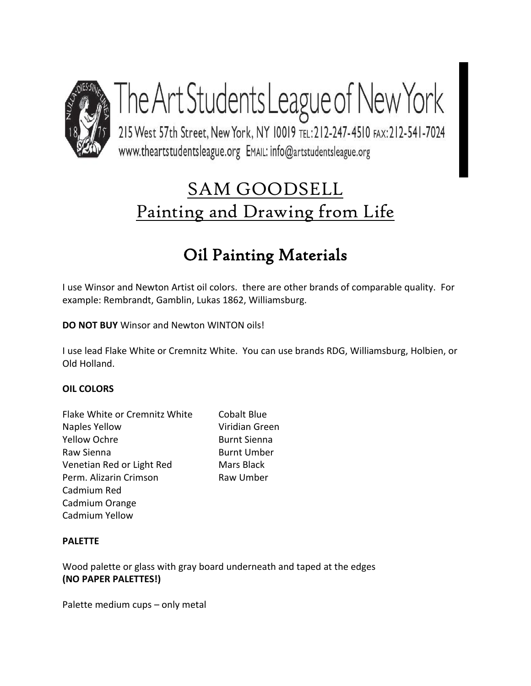

# The Art Students League of New York

215 West 57th Street, New York, NY 10019 TEL: 212-247-4510 FAX: 212-541-7024 www.theartstudentsleague.org EMAIL: info@artstudentsleague.org

## SAM GOODSELL Painting and Drawing from Life

## Oil Painting Materials

I use Winsor and Newton Artist oil colors. there are other brands of comparable quality. For example: Rembrandt, Gamblin, Lukas 1862, Williamsburg.

**DO NOT BUY** Winsor and Newton WINTON oils!

I use lead Flake White or Cremnitz White. You can use brands RDG, Williamsburg, Holbien, or Old Holland.

#### **OIL COLORS**

Flake White or Cremnitz White Cobalt Blue Naples Yellow Viridian Green Yellow Ochre **Burnt Sienna** Raw Sienna **Burnt Umber** Venetian Red or Light Red Mars Black Perm. Alizarin Crimson Raw Umber Cadmium Red Cadmium Orange Cadmium Yellow

#### **PALETTE**

Wood palette or glass with gray board underneath and taped at the edges **(NO PAPER PALETTES!)**

Palette medium cups – only metal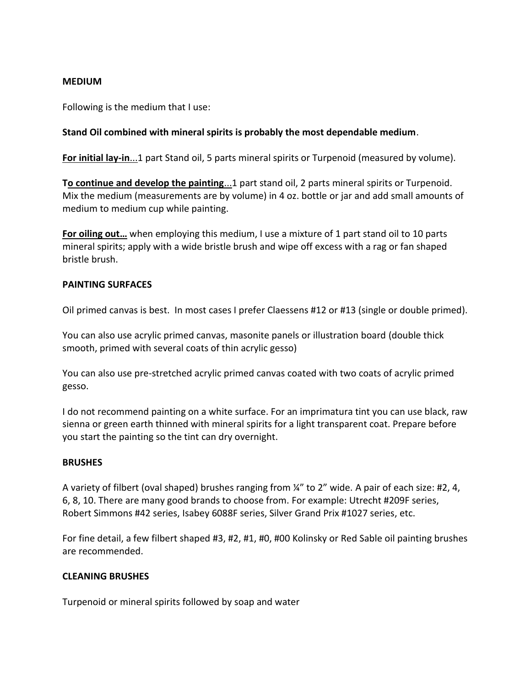#### **MEDIUM**

Following is the medium that I use:

#### **Stand Oil combined with mineral spirits is probably the most dependable medium**.

**For initial lay-in**...1 part Stand oil, 5 parts mineral spirits or Turpenoid (measured by volume).

**To continue and develop the painting**...1 part stand oil, 2 parts mineral spirits or Turpenoid. Mix the medium (measurements are by volume) in 4 oz. bottle or jar and add small amounts of medium to medium cup while painting.

**For oiling out…** when employing this medium, I use a mixture of 1 part stand oil to 10 parts mineral spirits; apply with a wide bristle brush and wipe off excess with a rag or fan shaped bristle brush.

#### **PAINTING SURFACES**

Oil primed canvas is best. In most cases I prefer Claessens #12 or #13 (single or double primed).

You can also use acrylic primed canvas, masonite panels or illustration board (double thick smooth, primed with several coats of thin acrylic gesso)

You can also use pre-stretched acrylic primed canvas coated with two coats of acrylic primed gesso.

I do not recommend painting on a white surface. For an imprimatura tint you can use black, raw sienna or green earth thinned with mineral spirits for a light transparent coat. Prepare before you start the painting so the tint can dry overnight.

#### **BRUSHES**

A variety of filbert (oval shaped) brushes ranging from ¼" to 2" wide. A pair of each size: #2, 4, 6, 8, 10. There are many good brands to choose from. For example: Utrecht #209F series, Robert Simmons #42 series, Isabey 6088F series, Silver Grand Prix #1027 series, etc.

For fine detail, a few filbert shaped #3, #2, #1, #0, #00 Kolinsky or Red Sable oil painting brushes are recommended.

#### **CLEANING BRUSHES**

Turpenoid or mineral spirits followed by soap and water